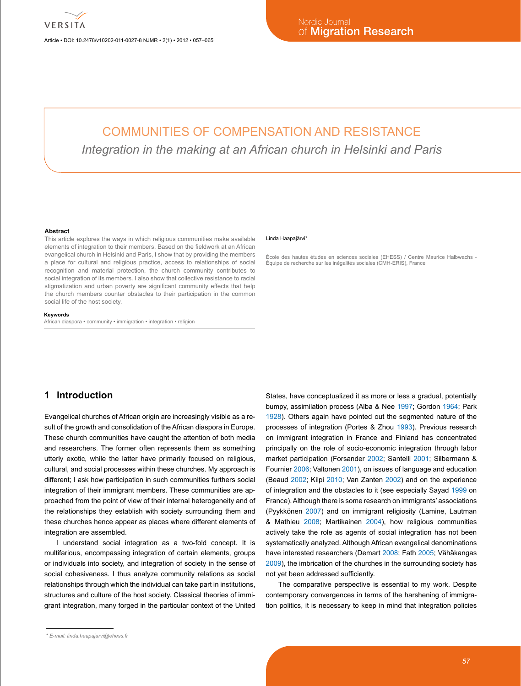Article • DOI: 10.2478/v10202-011-0027-8 NJMR • 2(1) • 2012 • 057–065

# COMMUNITIES OF COMPENSATION AND RESISTANCE *Integration in the making at an African church in Helsinki and Paris*

#### **Abstract**

This article explores the ways in which religious communities make available elements of integration to their members. Based on the fieldwork at an African evangelical church in Helsinki and Paris, I show that by providing the members a place for cultural and religious practice, access to relationships of social recognition and material protection, the church community contributes to social integration of its members. I also show that collective resistance to racial stigmatization and urban poverty are significant community effects that help the church members counter obstacles to their participation in the common social life of the host society.

#### **Keywords**

African diaspora • community • immigration • integration • religion

#### Linda Haapajärvi\*

École des hautes études en sciences sociales (EHESS) / Centre Maurice Halbwachs - Équipe de recherche sur les inégalités sociales (CMH-ERIS), France

#### **1 Introduction**

Evangelical churches of African origin are increasingly visible as a result of the growth and consolidation of the African diaspora in Europe. These church communities have caught the attention of both media and researchers. The former often represents them as something utterly exotic, while the latter have primarily focused on religious, cultural, and social processes within these churches. My approach is different; I ask how participation in such communities furthers social integration of their immigrant members. These communities are approached from the point of view of their internal heterogeneity and of the relationships they establish with society surrounding them and these churches hence appear as places where different elements of integration are assembled.

I understand social integration as a two-fold concept. It is multifarious, encompassing integration of certain elements, groups or individuals into society, and integration of society in the sense of social cohesiveness. I thus analyze community relations as social relationships through which the individual can take part in institutions, structures and culture of the host society. Classical theories of immigrant integration, many forged in the particular context of the United

States, have conceptualized it as more or less a gradual, potentially

The comparative perspective is essential to my work. Despite contemporary convergences in terms of the harshening of immigration politics, it is necessary to keep in mind that integration policies

bumpy, assimilation process (Alba & Nee [1997;](#page-8-0) Gordon [1964;](#page-8-1) Park [1928\)](#page-8-2). Others again have pointed out the segmented nature of the processes of integration (Portes & Zhou [1993](#page-8-3)). Previous research on immigrant integration in France and Finland has concentrated principally on the role of socio-economic integration through labor market participation (Forsander [2002](#page-8-4); Santelli [2001;](#page-8-5) Silbermann & Fournier [2006;](#page-8-6) Valtonen [2001\)](#page-8-7), on issues of language and education (Beaud [2002](#page-8-8); Kilpi [2010](#page-8-9); Van Zanten [2002](#page-8-10)) and on the experience of integration and the obstacles to it (see especially Sayad [1999](#page-8-11) on France). Although there is some research on immigrants' associations (Pyykkönen [2007](#page-8-12)) and on immigrant religiosity (Lamine, Lautman & Mathieu [2008](#page-8-13); Martikainen [2004](#page-8-14)), how religious communities actively take the role as agents of social integration has not been systematically analyzed. Although African evangelical denominations have interested researchers (Demart [2008](#page-8-15); Fath [2005](#page-8-16); Vähäkangas [2009\)](#page-8-17), the imbrication of the churches in the surrounding society has not yet been addressed sufficiently.

*<sup>\*</sup> E-mail: [linda.haapajarvi@ehess.fr](mailto:linda.haapajarvi@ehess.fr)*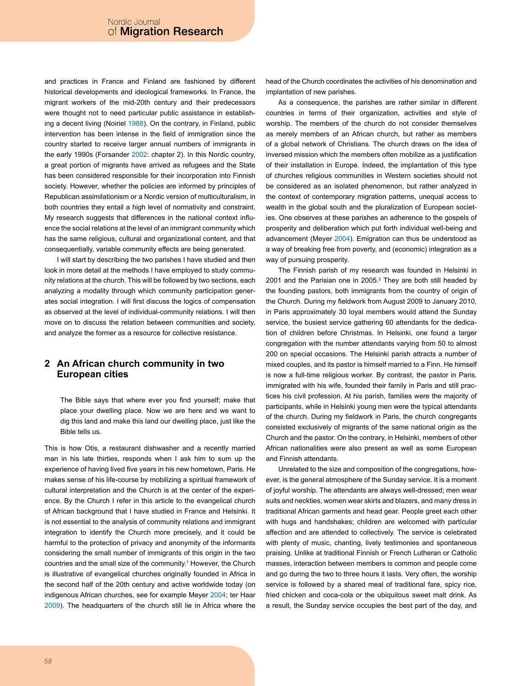and practices in France and Finland are fashioned by different historical developments and ideological frameworks. In France, the migrant workers of the mid-20th century and their predecessors were thought not to need particular public assistance in establishing a decent living (Noiriel [1988](#page-8-18)). On the contrary, in Finland, public intervention has been intense in the field of immigration since the country started to receive larger annual numbers of immigrants in the early 1990s (Forsander [2002](#page-8-4): chapter 2). In this Nordic country, a great portion of migrants have arrived as refugees and the State has been considered responsible for their incorporation into Finnish society. However, whether the policies are informed by principles of Republican assimilationism or a Nordic version of multiculturalism, in both countries they entail a high level of normativity and constraint. My research suggests that differences in the national context influence the social relations at the level of an immigrant community which has the same religious, cultural and organizational content, and that consequentially, variable community effects are being generated.

I will start by describing the two parishes I have studied and then look in more detail at the methods I have employed to study community relations at the church. This will be followed by two sections, each analyzing a modality through which community participation generates social integration. I will first discuss the logics of compensation as observed at the level of individual-community relations. I will then move on to discuss the relation between communities and society, and analyze the former as a resource for collective resistance.

#### **2 An African church community in two European cities**

The Bible says that where ever you find yourself; make that place your dwelling place. Now we are here and we want to dig this land and make this land our dwelling place, just like the Bible tells us.

This is how Otis, a restaurant dishwasher and a recently married man in his late thirties, responds when I ask him to sum up the experience of having lived five years in his new hometown, Paris. He makes sense of his life-course by mobilizing a spiritual framework of cultural interpretation and the Church is at the center of the experience. By the Church I refer in this article to the evangelical church of African background that I have studied in France and Helsinki. It is not essential to the analysis of community relations and immigrant integration to identify the Church more precisely, and it could be harmful to the protection of privacy and anonymity of the informants considering the small number of immigrants of this origin in the two countries and the small size of the community[.1](#page-7-0) However, the Church is illustrative of evangelical churches originally founded in Africa in the second half of the 20th century and active worldwide today (on indigenous African churches, see for example Meyer [2004](#page-8-19); ter Haar [2009\)](#page-8-20). The headquarters of the church still lie in Africa where the

head of the Church coordinates the activities of his denomination and implantation of new parishes.

As a consequence, the parishes are rather similar in different countries in terms of their organization, activities and style of worship. The members of the church do not consider themselves as merely members of an African church, but rather as members of a global network of Christians. The church draws on the idea of inversed mission which the members often mobilize as a justification of their installation in Europe. Indeed, the implantation of this type of churches religious communities in Western societies should not be considered as an isolated phenomenon, but rather analyzed in the context of contemporary migration patterns, unequal access to wealth in the global south and the pluralization of European societies. One observes at these parishes an adherence to the gospels of prosperity and deliberation which put forth individual well-being and advancement (Meyer [2004](#page-8-19)). Emigration can thus be understood as a way of breaking free from poverty, and (economic) integration as a way of pursuing prosperity.

The Finnish parish of my research was founded in Helsinki in 2001 and the Parisian one in 2005.[2](#page-7-1) They are both still headed by the founding pastors, both immigrants from the country of origin of the Church. During my fieldwork from August 2009 to January 2010, in Paris approximately 30 loyal members would attend the Sunday service, the busiest service gathering 60 attendants for the dedication of children before Christmas. In Helsinki, one found a larger congregation with the number attendants varying from 50 to almost 200 on special occasions. The Helsinki parish attracts a number of mixed couples, and its pastor is himself married to a Finn. He himself is now a full-time religious worker. By contrast, the pastor in Paris, immigrated with his wife, founded their family in Paris and still practices his civil profession. At his parish, families were the majority of participants, while in Helsinki young men were the typical attendants of the church. During my fieldwork in Paris, the church congregants consisted exclusively of migrants of the same national origin as the Church and the pastor. On the contrary, in Helsinki, members of other African nationalities were also present as well as some European and Finnish attendants.

Unrelated to the size and composition of the congregations, however, is the general atmosphere of the Sunday service. It is a moment of joyful worship. The attendants are always well-dressed; men wear suits and neckties, women wear skirts and blazers, and many dress in traditional African garments and head gear. People greet each other with hugs and handshakes; children are welcomed with particular affection and are attended to collectively. The service is celebrated with plenty of music, chanting, lively testimonies and spontaneous praising. Unlike at traditional Finnish or French Lutheran or Catholic masses, interaction between members is common and people come and go during the two to three hours it lasts. Very often, the worship service is followed by a shared meal of traditional fare, spicy rice, fried chicken and coca-cola or the ubiquitous sweet malt drink. As a result, the Sunday service occupies the best part of the day, and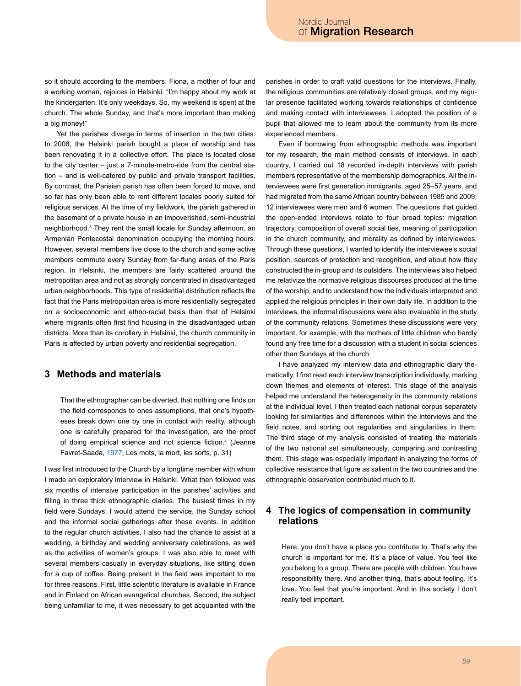so it should according to the members. Fiona, a mother of four and a working woman, rejoices in Helsinki: "I'm happy about my work at the kindergarten. It's only weekdays. So, my weekend is spent at the church. The whole Sunday, and that's more important than making a big money!"

Yet the parishes diverge in terms of insertion in the two cities. In 2008, the Helsinki parish bought a place of worship and has been renovating it in a collective effort. The place is located close to the city center – just a 7-minute-metro-ride from the central station – and is well-catered by public and private transport facilities. By contrast, the Parisian parish has often been forced to move, and so far has only been able to rent different locales poorly suited for religious services. At the time of my fieldwork, the parish gathered in the basement of a private house in an impoverished, semi-industrial neighborhood[.3](#page-7-2) They rent the small locale for Sunday afternoon, an Armenian Pentecostal denomination occupying the morning hours. However, several members live close to the church and some active members commute every Sunday from far-flung areas of the Paris region. In Helsinki, the members are fairly scattered around the metropolitan area and not as strongly concentrated in disadvantaged urban neighborhoods. This type of residential distribution reflects the fact that the Paris metropolitan area is more residentially segregated on a socioeconomic and ethno-racial basis than that of Helsinki where migrants often first find housing in the disadvantaged urban districts. More than its corollary in Helsinki, the church community in Paris is affected by urban poverty and residential segregation.

## **3 Methods and materials**

That the ethnographer can be diverted, that nothing one finds on the field corresponds to ones assumptions, that one's hypotheses break down one by one in contact with reality, although one is carefully prepared for the investigation, are the proof of doing empirical science and not science fiction.[4](#page-7-3) (Jeanne Favret-Saada, [1977,](#page-8-21) Les mots, la mort, les sorts, p. 31)

I was first introduced to the Church by a longtime member with whom I made an exploratory interview in Helsinki. What then followed was six months of intensive participation in the parishes' activities and filling in three thick ethnographic diaries. The busiest times in my field were Sundays. I would attend the service, the Sunday school and the informal social gatherings after these events. In addition to the regular church activities, I also had the chance to assist at a wedding, a birthday and wedding anniversary celebrations, as well as the activities of women's groups. I was also able to meet with several members casually in everyday situations, like sitting down for a cup of coffee. Being present in the field was important to me for three reasons. First, little scientific literature is available in France and in Finland on African evangelical churches. Second, the subject being unfamiliar to me, it was necessary to get acquainted with the parishes in order to craft valid questions for the interviews. Finally, the religious communities are relatively closed groups, and my regular presence facilitated working towards relationships of confidence and making contact with interviewees. I adopted the position of a pupil that allowed me to learn about the community from its more experienced members.

Even if borrowing from ethnographic methods was important for my research, the main method consists of interviews. In each country, I carried out 18 recorded in-depth interviews with parish members representative of the membership demographics. All the interviewees were first generation immigrants, aged 25–57 years, and had migrated from the same African country between 1985 and 2009; 12 interviewees were men and 6 women. The questions that guided the open-ended interviews relate to four broad topics: migration trajectory, composition of overall social ties, meaning of participation in the church community, and morality as defined by interviewees. Through these questions, I wanted to identify the interviewee's social position, sources of protection and recognition, and about how they constructed the in-group and its outsiders. The interviews also helped me relativize the normative religious discourses produced at the time of the worship, and to understand how the individuals interpreted and applied the religious principles in their own daily life. In addition to the interviews, the informal discussions were also invaluable in the study of the community relations. Sometimes these discussions were very important, for example, with the mothers of little children who hardly found any free time for a discussion with a student in social sciences other than Sundays at the church.

I have analyzed my interview data and ethnographic diary thematically. I first read each interview transcription individually, marking down themes and elements of interest. This stage of the analysis helped me understand the heterogeneity in the community relations at the individual level. I then treated each national corpus separately looking for similarities and differences within the interviews and the field notes, and sorting out regularities and singularities in them. The third stage of my analysis consisted of treating the materials of the two national set simultaneously, comparing and contrasting them. This stage was especially important in analyzing the forms of collective resistance that figure as salient in the two countries and the ethnographic observation contributed much to it.

### **4 The logics of compensation in community relations**

Here, you don't have a place you contribute to. That's why the church is important for me. It's a place of value. You feel like you belong to a group. There are people with children. You have responsibility there. And another thing, that's about feeling. It's love. You feel that you're important. And in this society I don't really feel important.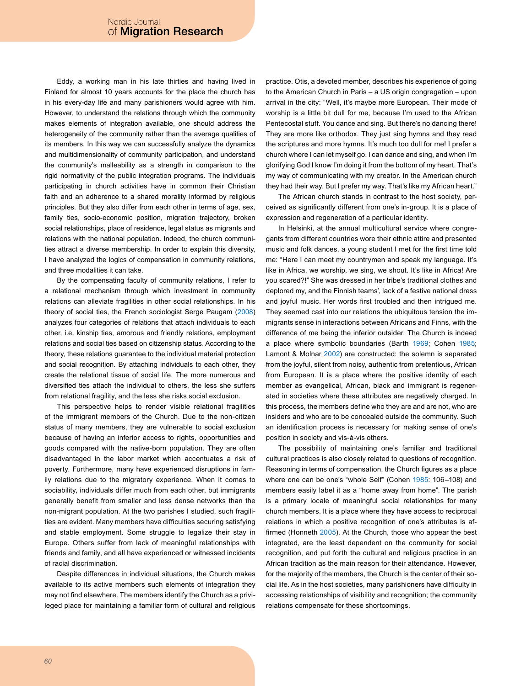Eddy, a working man in his late thirties and having lived in Finland for almost 10 years accounts for the place the church has in his every-day life and many parishioners would agree with him. However, to understand the relations through which the community makes elements of integration available, one should address the heterogeneity of the community rather than the average qualities of its members. In this way we can successfully analyze the dynamics and multidimensionality of community participation, and understand the community's malleability as a strength in comparison to the rigid normativity of the public integration programs. The individuals participating in church activities have in common their Christian faith and an adherence to a shared morality informed by religious principles. But they also differ from each other in terms of age, sex, family ties, socio-economic position, migration trajectory, broken social relationships, place of residence, legal status as migrants and relations with the national population. Indeed, the church communities attract a diverse membership. In order to explain this diversity, I have analyzed the logics of compensation in community relations, and three modalities it can take.

By the compensating faculty of community relations, I refer to a relational mechanism through which investment in community relations can alleviate fragilities in other social relationships. In his theory of social ties, the French sociologist Serge Paugam ([2008](#page-8-22)) analyzes four categories of relations that attach individuals to each other, i.e. kinship ties, amorous and friendly relations, employment relations and social ties based on citizenship status. According to the theory, these relations guarantee to the individual material protection and social recognition. By attaching individuals to each other, they create the relational tissue of social life. The more numerous and diversified ties attach the individual to others, the less she suffers from relational fragility, and the less she risks social exclusion.

This perspective helps to render visible relational fragilities of the immigrant members of the Church. Due to the non-citizen status of many members, they are vulnerable to social exclusion because of having an inferior access to rights, opportunities and goods compared with the native-born population. They are often disadvantaged in the labor market which accentuates a risk of poverty. Furthermore, many have experienced disruptions in family relations due to the migratory experience. When it comes to sociability, individuals differ much from each other, but immigrants generally benefit from smaller and less dense networks than the non-migrant population. At the two parishes I studied, such fragilities are evident. Many members have difficulties securing satisfying and stable employment. Some struggle to legalize their stay in Europe. Others suffer from lack of meaningful relationships with friends and family, and all have experienced or witnessed incidents of racial discrimination.

Despite differences in individual situations, the Church makes available to its active members such elements of integration they may not find elsewhere. The members identify the Church as a privileged place for maintaining a familiar form of cultural and religious practice. Otis, a devoted member, describes his experience of going to the American Church in Paris – a US origin congregation – upon arrival in the city: "Well, it's maybe more European. Their mode of worship is a little bit dull for me, because I'm used to the African Pentecostal stuff. You dance and sing. But there's no dancing there! They are more like orthodox. They just sing hymns and they read the scriptures and more hymns. It's much too dull for me! I prefer a church where I can let myself go. I can dance and sing, and when I'm glorifying God I know I'm doing it from the bottom of my heart. That's my way of communicating with my creator. In the American church they had their way. But I prefer my way. That's like my African heart."

The African church stands in contrast to the host society, perceived as significantly different from one's in-group. It is a place of expression and regeneration of a particular identity.

In Helsinki, at the annual multicultural service where congregants from different countries wore their ethnic attire and presented music and folk dances, a young student I met for the first time told me: "Here I can meet my countrymen and speak my language. It's like in Africa, we worship, we sing, we shout. It's like in Africa! Are you scared?!" She was dressed in her tribe's traditional clothes and deplored my, and the Finnish teams', lack of a festive national dress and joyful music. Her words first troubled and then intrigued me. They seemed cast into our relations the ubiquitous tension the immigrants sense in interactions between Africans and Finns, with the difference of me being the inferior outsider. The Church is indeed a place where symbolic boundaries (Barth [1969;](#page-8-23) Cohen [1985;](#page-8-24) Lamont & Molnar [2002\)](#page-8-25) are constructed: the solemn is separated from the joyful, silent from noisy, authentic from pretentious, African from European. It is a place where the positive identity of each member as evangelical, African, black and immigrant is regenerated in societies where these attributes are negatively charged. In this process, the members define who they are and are not, who are insiders and who are to be concealed outside the community. Such an identification process is necessary for making sense of one's position in society and vis-à-vis others.

The possibility of maintaining one's familiar and traditional cultural practices is also closely related to questions of recognition. Reasoning in terms of compensation, the Church figures as a place where one can be one's "whole Self" (Cohen [1985:](#page-8-24) 106–108) and members easily label it as a "home away from home". The parish is a primary locale of meaningful social relationships for many church members. It is a place where they have access to reciprocal relations in which a positive recognition of one's attributes is affirmed (Honneth [2005](#page-8-26)). At the Church, those who appear the best integrated, are the least dependent on the community for social recognition, and put forth the cultural and religious practice in an African tradition as the main reason for their attendance. However, for the majority of the members, the Church is the center of their social life. As in the host societies, many parishioners have difficulty in accessing relationships of visibility and recognition; the community relations compensate for these shortcomings.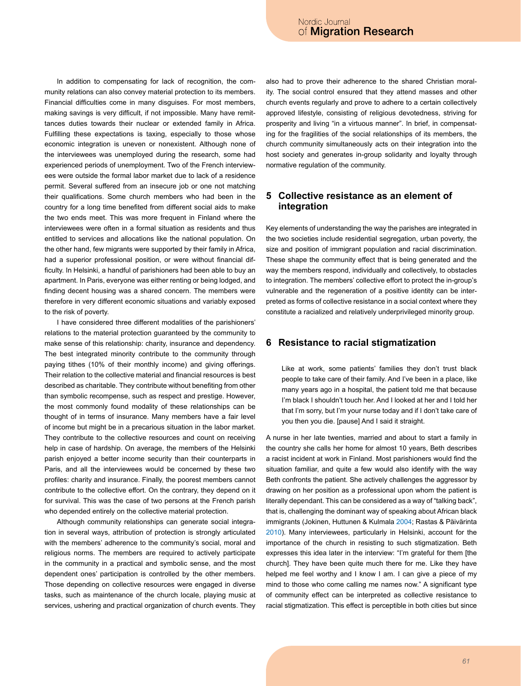In addition to compensating for lack of recognition, the community relations can also convey material protection to its members. Financial difficulties come in many disguises. For most members, making savings is very difficult, if not impossible. Many have remittances duties towards their nuclear or extended family in Africa. Fulfilling these expectations is taxing, especially to those whose economic integration is uneven or nonexistent. Although none of the interviewees was unemployed during the research, some had experienced periods of unemployment. Two of the French interviewees were outside the formal labor market due to lack of a residence permit. Several suffered from an insecure job or one not matching their qualifications. Some church members who had been in the country for a long time benefited from different social aids to make the two ends meet. This was more frequent in Finland where the interviewees were often in a formal situation as residents and thus entitled to services and allocations like the national population. On the other hand, few migrants were supported by their family in Africa, had a superior professional position, or were without financial difficulty. In Helsinki, a handful of parishioners had been able to buy an apartment. In Paris, everyone was either renting or being lodged, and finding decent housing was a shared concern. The members were therefore in very different economic situations and variably exposed to the risk of poverty.

I have considered three different modalities of the parishioners' relations to the material protection guaranteed by the community to make sense of this relationship: charity, insurance and dependency. The best integrated minority contribute to the community through paying tithes (10% of their monthly income) and giving offerings. Their relation to the collective material and financial resources is best described as charitable. They contribute without benefiting from other than symbolic recompense, such as respect and prestige. However, the most commonly found modality of these relationships can be thought of in terms of insurance. Many members have a fair level of income but might be in a precarious situation in the labor market. They contribute to the collective resources and count on receiving help in case of hardship. On average, the members of the Helsinki parish enjoyed a better income security than their counterparts in Paris, and all the interviewees would be concerned by these two profiles: charity and insurance. Finally, the poorest members cannot contribute to the collective effort. On the contrary, they depend on it for survival. This was the case of two persons at the French parish who depended entirely on the collective material protection.

Although community relationships can generate social integration in several ways, attribution of protection is strongly articulated with the members' adherence to the community's social, moral and religious norms. The members are required to actively participate in the community in a practical and symbolic sense, and the most dependent ones' participation is controlled by the other members. Those depending on collective resources were engaged in diverse tasks, such as maintenance of the church locale, playing music at services, ushering and practical organization of church events. They also had to prove their adherence to the shared Christian morality. The social control ensured that they attend masses and other church events regularly and prove to adhere to a certain collectively approved lifestyle, consisting of religious devotedness, striving for prosperity and living "in a virtuous manner". In brief, in compensating for the fragilities of the social relationships of its members, the church community simultaneously acts on their integration into the host society and generates in-group solidarity and loyalty through normative regulation of the community.

#### **5 Collective resistance as an element of integration**

Key elements of understanding the way the parishes are integrated in the two societies include residential segregation, urban poverty, the size and position of immigrant population and racial discrimination. These shape the community effect that is being generated and the way the members respond, individually and collectively, to obstacles to integration. The members' collective effort to protect the in-group's vulnerable and the regeneration of a positive identity can be interpreted as forms of collective resistance in a social context where they constitute a racialized and relatively underprivileged minority group.

#### **6 Resistance to racial stigmatization**

Like at work, some patients' families they don't trust black people to take care of their family. And I've been in a place, like many years ago in a hospital, the patient told me that because I'm black I shouldn't touch her. And I looked at her and I told her that I'm sorry, but I'm your nurse today and if I don't take care of you then you die. [pause] And I said it straight.

A nurse in her late twenties, married and about to start a family in the country she calls her home for almost 10 years, Beth describes a racist incident at work in Finland. Most parishioners would find the situation familiar, and quite a few would also identify with the way Beth confronts the patient. She actively challenges the aggressor by drawing on her position as a professional upon whom the patient is literally dependant. This can be considered as a way of "talking back", that is, challenging the dominant way of speaking about African black immigrants (Jokinen, Huttunen & Kulmala [2004;](#page-8-27) Rastas & Päivärinta [2010\)](#page-8-28). Many interviewees, particularly in Helsinki, account for the importance of the church in resisting to such stigmatization. Beth expresses this idea later in the interview: "I'm grateful for them [the church]. They have been quite much there for me. Like they have helped me feel worthy and I know I am. I can give a piece of my mind to those who come calling me names now." A significant type of community effect can be interpreted as collective resistance to racial stigmatization. This effect is perceptible in both cities but since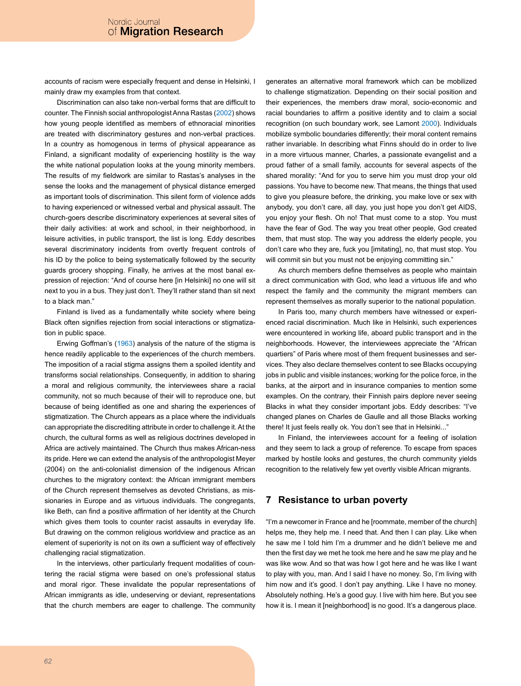accounts of racism were especially frequent and dense in Helsinki, I mainly draw my examples from that context.

Discrimination can also take non-verbal forms that are difficult to counter. The Finnish social anthropologist Anna Rastas [\(2002](#page-8-29)) shows how young people identified as members of ethnoracial minorities are treated with discriminatory gestures and non-verbal practices. In a country as homogenous in terms of physical appearance as Finland, a significant modality of experiencing hostility is the way the white national population looks at the young minority members. The results of my fieldwork are similar to Rastas's analyses in the sense the looks and the management of physical distance emerged as important tools of discrimination. This silent form of violence adds to having experienced or witnessed verbal and physical assault. The church-goers describe discriminatory experiences at several sites of their daily activities: at work and school, in their neighborhood, in leisure activities, in public transport, the list is long. Eddy describes several discriminatory incidents from overtly frequent controls of his ID by the police to being systematically followed by the security guards grocery shopping. Finally, he arrives at the most banal expression of rejection: "And of course here [in Helsinki] no one will sit next to you in a bus. They just don't. They'll rather stand than sit next to a black man."

Finland is lived as a fundamentally white society where being Black often signifies rejection from social interactions or stigmatization in public space.

Erwing Goffman's ([1963\)](#page-8-30) analysis of the nature of the stigma is hence readily applicable to the experiences of the church members. The imposition of a racial stigma assigns them a spoiled identity and transforms social relationships. Consequently, in addition to sharing a moral and religious community, the interviewees share a racial community, not so much because of their will to reproduce one, but because of being identified as one and sharing the experiences of stigmatization. The Church appears as a place where the individuals can appropriate the discrediting attribute in order to challenge it. At the church, the cultural forms as well as religious doctrines developed in Africa are actively maintained. The Church thus makes African-ness its pride. Here we can extend the analysis of the anthropologist Meyer (2004) on the anti-colonialist dimension of the indigenous African churches to the migratory context: the African immigrant members of the Church represent themselves as devoted Christians, as missionaries in Europe and as virtuous individuals. The congregants, like Beth, can find a positive affirmation of her identity at the Church which gives them tools to counter racist assaults in everyday life. But drawing on the common religious worldview and practice as an element of superiority is not on its own a sufficient way of effectively challenging racial stigmatization.

In the interviews, other particularly frequent modalities of countering the racial stigma were based on one's professional status and moral rigor. These invalidate the popular representations of African immigrants as idle, undeserving or deviant, representations that the church members are eager to challenge. The community generates an alternative moral framework which can be mobilized to challenge stigmatization. Depending on their social position and their experiences, the members draw moral, socio-economic and racial boundaries to affirm a positive identity and to claim a social recognition (on such boundary work, see Lamont [2000\)](#page-8-31). Individuals mobilize symbolic boundaries differently; their moral content remains rather invariable. In describing what Finns should do in order to live in a more virtuous manner, Charles, a passionate evangelist and a proud father of a small family, accounts for several aspects of the shared morality: "And for you to serve him you must drop your old passions. You have to become new. That means, the things that used to give you pleasure before, the drinking, you make love or sex with anybody, you don't care, all day, you just hope you don't get AIDS, you enjoy your flesh. Oh no! That must come to a stop. You must have the fear of God. The way you treat other people, God created them, that must stop. The way you address the elderly people, you don't care who they are, fuck you [imitating], no, that must stop. You will commit sin but you must not be enjoying committing sin."

As church members define themselves as people who maintain a direct communication with God, who lead a virtuous life and who respect the family and the community the migrant members can represent themselves as morally superior to the national population.

In Paris too, many church members have witnessed or experienced racial discrimination. Much like in Helsinki, such experiences were encountered in working life, aboard public transport and in the neighborhoods. However, the interviewees appreciate the "African quartiers" of Paris where most of them frequent businesses and services. They also declare themselves content to see Blacks occupying jobs in public and visible instances; working for the police force, in the banks, at the airport and in insurance companies to mention some examples. On the contrary, their Finnish pairs deplore never seeing Blacks in what they consider important jobs. Eddy describes: "I've changed planes on Charles de Gaulle and all those Blacks working there! It just feels really ok. You don't see that in Helsinki..."

In Finland, the interviewees account for a feeling of isolation and they seem to lack a group of reference. To escape from spaces marked by hostile looks and gestures, the church community yields recognition to the relatively few yet overtly visible African migrants.

#### **7 Resistance to urban poverty**

"I'm a newcomer in France and he [roommate, member of the church] helps me, they help me. I need that. And then I can play. Like when he saw me I told him I'm a drummer and he didn't believe me and then the first day we met he took me here and he saw me play and he was like wow. And so that was how I got here and he was like I want to play with you, man. And I said I have no money. So, I'm living with him now and it's good. I don't pay anything. Like I have no money. Absolutely nothing. He's a good guy. I live with him here. But you see how it is. I mean it [neighborhood] is no good. It's a dangerous place.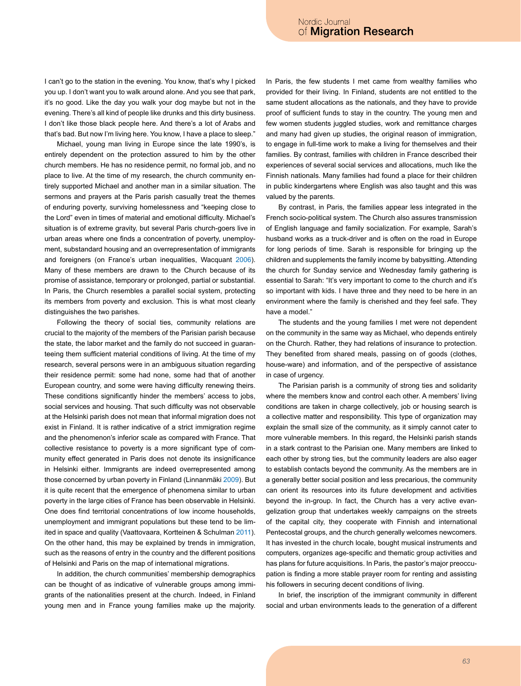I can't go to the station in the evening. You know, that's why I picked you up. I don't want you to walk around alone. And you see that park, it's no good. Like the day you walk your dog maybe but not in the evening. There's all kind of people like drunks and this dirty business. I don't like those black people here. And there's a lot of Arabs and that's bad. But now I'm living here. You know, I have a place to sleep."

Michael, young man living in Europe since the late 1990's, is entirely dependent on the protection assured to him by the other church members. He has no residence permit, no formal job, and no place to live. At the time of my research, the church community entirely supported Michael and another man in a similar situation. The sermons and prayers at the Paris parish casually treat the themes of enduring poverty, surviving homelessness and "keeping close to the Lord" even in times of material and emotional difficulty. Michael's situation is of extreme gravity, but several Paris church-goers live in urban areas where one finds a concentration of poverty, unemployment, substandard housing and an overrepresentation of immigrants and foreigners (on France's urban inequalities, Wacquant [2006](#page-8-32)). Many of these members are drawn to the Church because of its promise of assistance, temporary or prolonged, partial or substantial. In Paris, the Church resembles a parallel social system, protecting its members from poverty and exclusion. This is what most clearly distinguishes the two parishes.

Following the theory of social ties, community relations are crucial to the majority of the members of the Parisian parish because the state, the labor market and the family do not succeed in guaranteeing them sufficient material conditions of living. At the time of my research, several persons were in an ambiguous situation regarding their residence permit: some had none, some had that of another European country, and some were having difficulty renewing theirs. These conditions significantly hinder the members' access to jobs, social services and housing. That such difficulty was not observable at the Helsinki parish does not mean that informal migration does not exist in Finland. It is rather indicative of a strict immigration regime and the phenomenon's inferior scale as compared with France. That collective resistance to poverty is a more significant type of community effect generated in Paris does not denote its insignificance in Helsinki either. Immigrants are indeed overrepresented among those concerned by urban poverty in Finland (Linnanmäki [2009](#page-8-33)). But it is quite recent that the emergence of phenomena similar to urban poverty in the large cities of France has been observable in Helsinki. One does find territorial concentrations of low income households, unemployment and immigrant populations but these tend to be limited in space and quality (Vaattovaara, Kortteinen & Schulman [2011](#page-8-34)). On the other hand, this may be explained by trends in immigration, such as the reasons of entry in the country and the different positions of Helsinki and Paris on the map of international migrations.

In addition, the church communities' membership demographics can be thought of as indicative of vulnerable groups among immigrants of the nationalities present at the church. Indeed, in Finland young men and in France young families make up the majority. In Paris, the few students I met came from wealthy families who provided for their living. In Finland, students are not entitled to the same student allocations as the nationals, and they have to provide proof of sufficient funds to stay in the country. The young men and few women students juggled studies, work and remittance charges and many had given up studies, the original reason of immigration, to engage in full-time work to make a living for themselves and their families. By contrast, families with children in France described their experiences of several social services and allocations, much like the Finnish nationals. Many families had found a place for their children in public kindergartens where English was also taught and this was valued by the parents.

By contrast, in Paris, the families appear less integrated in the French socio-political system. The Church also assures transmission of English language and family socialization. For example, Sarah's husband works as a truck-driver and is often on the road in Europe for long periods of time. Sarah is responsible for bringing up the children and supplements the family income by babysitting. Attending the church for Sunday service and Wednesday family gathering is essential to Sarah: "It's very important to come to the church and it's so important with kids. I have three and they need to be here in an environment where the family is cherished and they feel safe. They have a model."

The students and the young families I met were not dependent on the community in the same way as Michael, who depends entirely on the Church. Rather, they had relations of insurance to protection. They benefited from shared meals, passing on of goods (clothes, house-ware) and information, and of the perspective of assistance in case of urgency.

The Parisian parish is a community of strong ties and solidarity where the members know and control each other. A members' living conditions are taken in charge collectively, job or housing search is a collective matter and responsibility. This type of organization may explain the small size of the community, as it simply cannot cater to more vulnerable members. In this regard, the Helsinki parish stands in a stark contrast to the Parisian one. Many members are linked to each other by strong ties, but the community leaders are also eager to establish contacts beyond the community. As the members are in a generally better social position and less precarious, the community can orient its resources into its future development and activities beyond the in-group. In fact, the Church has a very active evangelization group that undertakes weekly campaigns on the streets of the capital city, they cooperate with Finnish and international Pentecostal groups, and the church generally welcomes newcomers. It has invested in the church locale, bought musical instruments and computers, organizes age-specific and thematic group activities and has plans for future acquisitions. In Paris, the pastor's major preoccupation is finding a more stable prayer room for renting and assisting his followers in securing decent conditions of living.

In brief, the inscription of the immigrant community in different social and urban environments leads to the generation of a different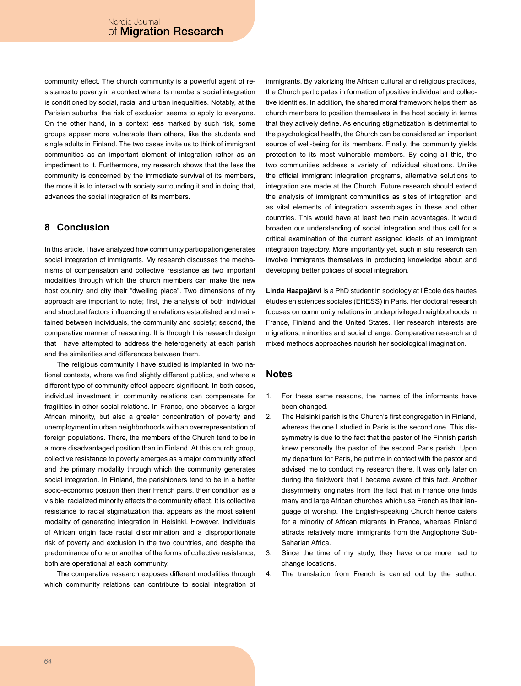community effect. The church community is a powerful agent of resistance to poverty in a context where its members' social integration is conditioned by social, racial and urban inequalities. Notably, at the Parisian suburbs, the risk of exclusion seems to apply to everyone. On the other hand, in a context less marked by such risk, some groups appear more vulnerable than others, like the students and single adults in Finland. The two cases invite us to think of immigrant communities as an important element of integration rather as an impediment to it. Furthermore, my research shows that the less the community is concerned by the immediate survival of its members, the more it is to interact with society surrounding it and in doing that, advances the social integration of its members.

## **8 Conclusion**

In this article, I have analyzed how community participation generates social integration of immigrants. My research discusses the mechanisms of compensation and collective resistance as two important modalities through which the church members can make the new host country and city their "dwelling place". Two dimensions of my approach are important to note; first, the analysis of both individual and structural factors influencing the relations established and maintained between individuals, the community and society; second, the comparative manner of reasoning. It is through this research design that I have attempted to address the heterogeneity at each parish and the similarities and differences between them.

The religious community I have studied is implanted in two national contexts, where we find slightly different publics, and where a different type of community effect appears significant. In both cases, individual investment in community relations can compensate for fragilities in other social relations. In France, one observes a larger African minority, but also a greater concentration of poverty and unemployment in urban neighborhoods with an overrepresentation of foreign populations. There, the members of the Church tend to be in a more disadvantaged position than in Finland. At this church group, collective resistance to poverty emerges as a major community effect and the primary modality through which the community generates social integration. In Finland, the parishioners tend to be in a better socio-economic position then their French pairs, their condition as a visible, racialized minority affects the community effect. It is collective resistance to racial stigmatization that appears as the most salient modality of generating integration in Helsinki. However, individuals of African origin face racial discrimination and a disproportionate risk of poverty and exclusion in the two countries, and despite the predominance of one or another of the forms of collective resistance, both are operational at each community.

The comparative research exposes different modalities through which community relations can contribute to social integration of immigrants. By valorizing the African cultural and religious practices, the Church participates in formation of positive individual and collective identities. In addition, the shared moral framework helps them as church members to position themselves in the host society in terms that they actively define. As enduring stigmatization is detrimental to the psychological health, the Church can be considered an important source of well-being for its members. Finally, the community yields protection to its most vulnerable members. By doing all this, the two communities address a variety of individual situations. Unlike the official immigrant integration programs, alternative solutions to integration are made at the Church. Future research should extend the analysis of immigrant communities as sites of integration and as vital elements of integration assemblages in these and other countries. This would have at least two main advantages. It would broaden our understanding of social integration and thus call for a critical examination of the current assigned ideals of an immigrant integration trajectory. More importantly yet, such in situ research can involve immigrants themselves in producing knowledge about and developing better policies of social integration.

**Linda Haapajärvi** is a PhD student in sociology at l'École des hautes études en sciences sociales (EHESS) in Paris. Her doctoral research focuses on community relations in underprivileged neighborhoods in France, Finland and the United States. Her research interests are migrations, minorities and social change. Comparative research and mixed methods approaches nourish her sociological imagination.

### **Notes**

- <span id="page-7-0"></span>1. For these same reasons, the names of the informants have been changed.
- <span id="page-7-1"></span>2. The Helsinki parish is the Church's first congregation in Finland, whereas the one I studied in Paris is the second one. This dissymmetry is due to the fact that the pastor of the Finnish parish knew personally the pastor of the second Paris parish. Upon my departure for Paris, he put me in contact with the pastor and advised me to conduct my research there. It was only later on during the fieldwork that I became aware of this fact. Another dissymmetry originates from the fact that in France one finds many and large African churches which use French as their language of worship. The English-speaking Church hence caters for a minority of African migrants in France, whereas Finland attracts relatively more immigrants from the Anglophone Sub-Saharian Africa.
- <span id="page-7-2"></span>3. Since the time of my study, they have once more had to change locations.
- <span id="page-7-3"></span>4. The translation from French is carried out by the author.